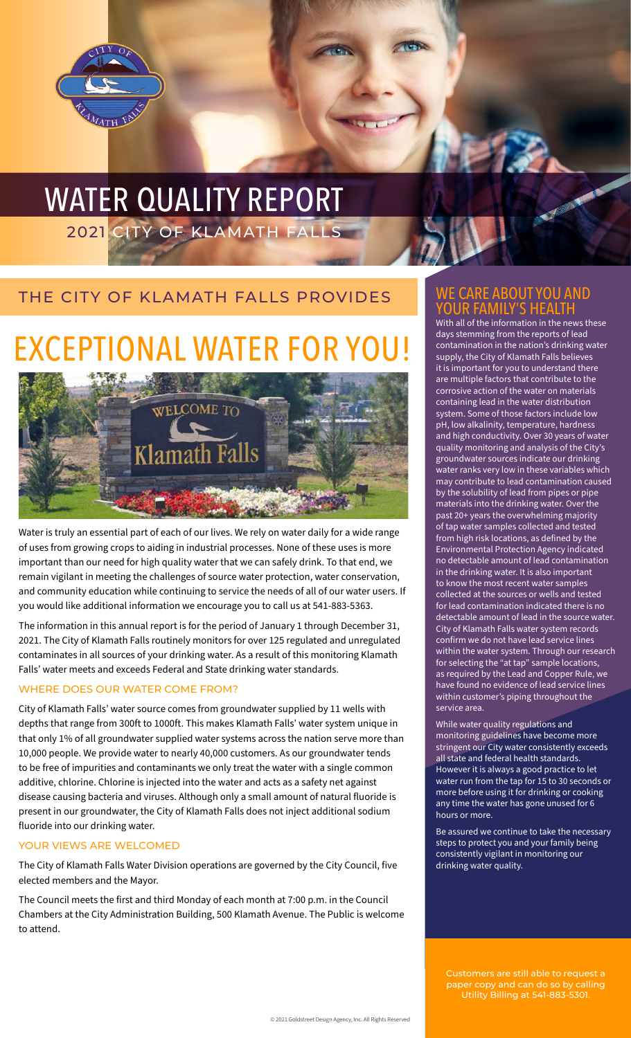

## 2021 CITY OF KLAMATH FALLS WATER QUALITY REPORT

### THE CITY OF KLAMATH FALLS PROVIDES

# EXCEPTIONAL WATER FOR YOU!



Water is truly an essential part of each of our lives. We rely on water daily for a wide range of uses from growing crops to aiding in industrial processes. None of these uses is more important than our need for high quality water that we can safely drink. To that end, we remain vigilant in meeting the challenges of source water protection, water conservation, and community education while continuing to service the needs of all of our water users. If you would like additional information we encourage you to call us at 541-883-5363.

The information in this annual report is for the period of January 1 through December 31, 2021. The City of Klamath Falls routinely monitors for over 125 regulated and unregulated contaminates in all sources of your drinking water. As a result of this monitoring Klamath Falls' water meets and exceeds Federal and State drinking water standards.

### WHERE DOES OUR WATER COME FROM?

City of Klamath Falls' water source comes from groundwater supplied by 11 wells with depths that range from 300ft to 1000ft. This makes Klamath Falls' water system unique in that only 1% of all groundwater supplied water systems across the nation serve more than 10,000 people. We provide water to nearly 40,000 customers. As our groundwater tends to be free of impurities and contaminants we only treat the water with a single common additive, chlorine. Chlorine is injected into the water and acts as a safety net against disease causing bacteria and viruses. Although only a small amount of natural fluoride is present in our groundwater, the City of Klamath Falls does not inject additional sodium fluoride into our drinking water.

### YOUR VIEWS ARE WELCOMED

The City of Klamath Falls Water Division operations are governed by the City Council, five elected members and the Mayor.

The Council meets the first and third Monday of each month at 7:00 p.m. in the Council Chambers at the City Administration Building, 500 Klamath Avenue. The Public is welcome to attend.

### **RE ABOUT** UR FAMILY'S HFALTH

With all of the information in the news these days stemming from the reports of lead contamination in the nation's drinking water supply, the City of Klamath Falls believes it is important for you to understand there are multiple factors that contribute to the corrosive action of the water on materials containing lead in the water distribution system. Some of those factors include low pH, low alkalinity, temperature, hardness and high conductivity. Over 30 years of water quality monitoring and analysis of the City's groundwater sources indicate our drinking water ranks very low in these variables which may contribute to lead contamination caused by the solubility of lead from pipes or pipe materials into the drinking water. Over the past 20+ years the overwhelming majority of tap water samples collected and tested from high risk locations, as defined by the Environmental Protection Agency indicated no detectable amount of lead contamination in the drinking water. It is also important to know the most recent water samples collected at the sources or wells and tested for lead contamination indicated there is no detectable amount of lead in the source water. City of Klamath Falls water system records confirm we do not have lead service lines within the water system. Through our research for selecting the "at tap" sample locations, as required by the Lead and Copper Rule, we have found no evidence of lead service lines within customer's piping throughout the service area.

While water quality regulations and monitoring guidelines have become more stringent our City water consistently exceeds all state and federal health standards. However it is always a good practice to let water run from the tap for 15 to 30 seconds or more before using it for drinking or cooking any time the water has gone unused for 6 hours or more.

Be assured we continue to take the necessary steps to protect you and your family being consistently vigilant in monitoring our drinking water quality.

Customers are still able to request a paper copy and can do so by calling Utility Billing at 541-883-5301.